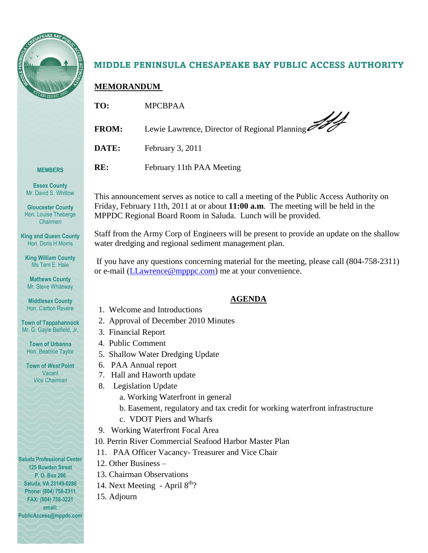

**MEMBERS**

**Essex County** Mr. David S. Whitlow

**Gloucester County** Hon. Louise Theberge *Chairman*

**King and Queen County** Hon. Doris H Morris

**King William County** Ms Terri E. Hale

**Mathews County** Mr. Steve Whiteway **Middlesex County** Hon. Carlton Revere

**Town of Tappahannock** Mr. G. Gayle Belfield, Jr.

**Town of Urbanna** Hon. Beatrice Taylor

**Town of** *West* **Point** Vacant *Vice Chairman*

## MIDDLE PENINSULA CHESAPEAKE BAY PUBLIC ACCESS AUTHORITY

## **MEMORANDUM**

| TO:          | <b>MPCBPAA</b>                                |
|--------------|-----------------------------------------------|
| <b>FROM:</b> | Lewie Lawrence, Director of Regional Planning |
| DATE:        | February 3, 2011                              |
| RE:          | February 11th PAA Meeting                     |

This announcement serves as notice to call a meeting of the Public Access Authority on Friday, February 11th, 2011 at or about **11:00 a.m**. The meeting will be held in the MPPDC Regional Board Room in Saluda. Lunch will be provided.

Staff from the Army Corp of Engineers will be present to provide an update on the shallow water dredging and regional sediment management plan.

If you have any questions concerning material for the meeting, please call (804-758-2311) or e-mail [\(LLawrence@mpppc.com\)](mailto:LLawrence@mpppc.com) me at your convenience.

## **AGENDA**

- 1. Welcome and Introductions
- 2. Approval of December 2010 Minutes
- 3. Financial Report
- 4. Public Comment
- 5. Shallow Water Dredging Update
- 6. PAA Annual report
- 7. Hall and Haworth update
- 8. Legislation Update
	- a. Working Waterfront in general
	- b. Easement, regulatory and tax credit for working waterfront infrastructure
	-
- 
- 10. Perrin River Commercial Seafood Harbor Master Plan
- 11. PAA Officer Vacancy- Treasurer and Vice Chair
- 12. Other Business –
- 13. Chairman Observations
- 14. Next Meeting April 8<sup>th</sup>?
- 15. Adjourn

**Saluda Professional Center 125 Bowden Street P. O. Box 286 Saluda, VA 23149-0286 Phone: (804) 758-2311 FAX: (804) 758-3221 email:** 

**PublicAccess@mppdc.com** 

- 
- 
- 
- 
- 
- 
- - -
	- c. VDOT Piers and Wharfs
- 9. Working Waterfront Focal Area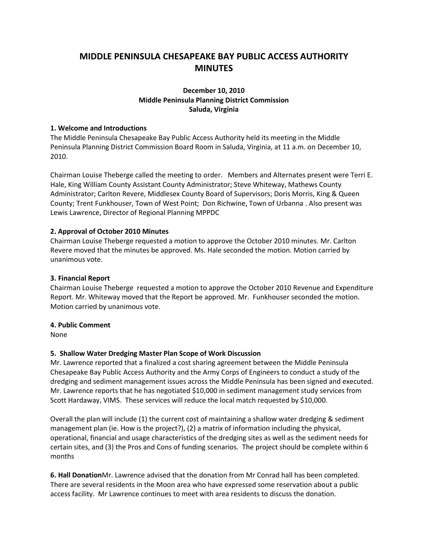## **MIDDLE PENINSULA CHESAPEAKE BAY PUBLIC ACCESS AUTHORITY MINUTES**

## **December 10, 2010 Middle Peninsula Planning District Commission Saluda, Virginia**

### **1. Welcome and Introductions**

The Middle Peninsula Chesapeake Bay Public Access Authority held its meeting in the Middle Peninsula Planning District Commission Board Room in Saluda, Virginia, at 11 a.m. on December 10, 2010.

Chairman Louise Theberge called the meeting to order. Members and Alternates present were Terri E. Hale, King William County Assistant County Administrator; Steve Whiteway, Mathews County Administrator; Carlton Revere, Middlesex County Board of Supervisors; Doris Morris, King & Queen County; Trent Funkhouser, Town of West Point; Don Richwine, Town of Urbanna . Also present was Lewis Lawrence, Director of Regional Planning MPPDC

## **2. Approval of October 2010 Minutes**

Chairman Louise Theberge requested a motion to approve the October 2010 minutes. Mr. Carlton Revere moved that the minutes be approved. Ms. Hale seconded the motion. Motion carried by unanimous vote.

### **3. Financial Report**

Chairman Louise Theberge requested a motion to approve the October 2010 Revenue and Expenditure Report. Mr. Whiteway moved that the Report be approved. Mr. Funkhouser seconded the motion. Motion carried by unanimous vote.

#### **4. Public Comment**

None

## **5. Shallow Water Dredging Master Plan Scope of Work Discussion**

Mr. Lawrence reported that a finalized a cost sharing agreement between the Middle Peninsula Chesapeake Bay Public Access Authority and the Army Corps of Engineers to conduct a study of the dredging and sediment management issues across the Middle Peninsula has been signed and executed. Mr. Lawrence reports that he has negotiated \$10,000 in sediment management study services from Scott Hardaway, VIMS. These services will reduce the local match requested by \$10,000.

Overall the plan will include (1) the current cost of maintaining a shallow water dredging & sediment management plan (ie. How is the project?), (2) a matrix of information including the physical, operational, financial and usage characteristics of the dredging sites as well as the sediment needs for certain sites, and (3) the Pros and Cons of funding scenarios. The project should be complete within 6 months

**6. Hall Donation**Mr. Lawrence advised that the donation from Mr Conrad hall has been completed. There are several residents in the Moon area who have expressed some reservation about a public access facility. Mr Lawrence continues to meet with area residents to discuss the donation.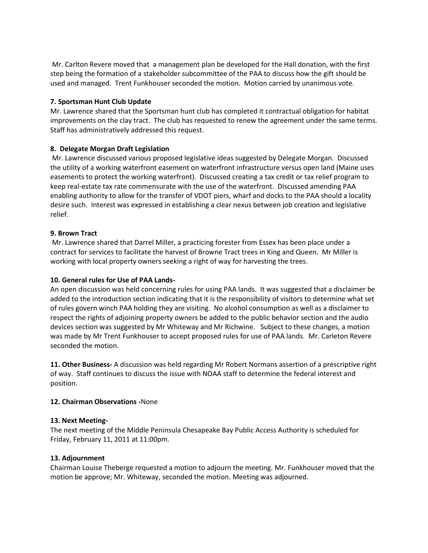Mr. Carlton Revere moved that a management plan be developed for the Hall donation, with the first step being the formation of a stakeholder subcommittee of the PAA to discuss how the gift should be used and managed. Trent Funkhouser seconded the motion. Motion carried by unanimous vote.

## **7. Sportsman Hunt Club Update**

Mr. Lawrence shared that the Sportsman hunt club has completed it contractual obligation for habitat improvements on the clay tract. The club has requested to renew the agreement under the same terms. Staff has administratively addressed this request.

## **8. Delegate Morgan Draft Legislation**

Mr. Lawrence discussed various proposed legislative ideas suggested by Delegate Morgan. Discussed the utility of a working waterfront easement on waterfront infrastructure versus open land (Maine uses easements to protect the working waterfront). Discussed creating a tax credit or tax relief program to keep real-estate tax rate commensurate with the use of the waterfront. Discussed amending PAA enabling authority to allow for the transfer of VDOT piers, wharf and docks to the PAA should a locality desire such. Interest was expressed in establishing a clear nexus between job creation and legislative relief.

## **9. Brown Tract**

Mr. Lawrence shared that Darrel Miller, a practicing forester from Essex has been place under a contract for services to facilitate the harvest of Browne Tract trees in King and Queen. Mr Miller is working with local property owners seeking a right of way for harvesting the trees.

## **10. General rules for Use of PAA Lands-**

An open discussion was held concerning rules for using PAA lands. It was suggested that a disclaimer be added to the introduction section indicating that it is the responsibility of visitors to determine what set of rules govern winch PAA holding they are visiting. No alcohol consumption as well as a disclaimer to respect the rights of adjoining property owners be added to the public behavior section and the audio devices section was suggested by Mr Whiteway and Mr Richwine. Subject to these changes, a motion was made by Mr Trent Funkhouser to accept proposed rules for use of PAA lands. Mr. Carleton Revere seconded the motion.

**11. Other Business-** A discussion was held regarding Mr Robert Normans assertion of a prescriptive right of way. Staff continues to discuss the issue with NOAA staff to determine the federal interest and position.

## **12. Chairman Observations -**None

## **13. Next Meeting-**

The next meeting of the Middle Peninsula Chesapeake Bay Public Access Authority is scheduled for Friday, February 11, 2011 at 11:00pm.

## **13. Adjournment**

Chairman Louise Theberge requested a motion to adjourn the meeting. Mr. Funkhouser moved that the motion be approve; Mr. Whiteway, seconded the motion. Meeting was adjourned.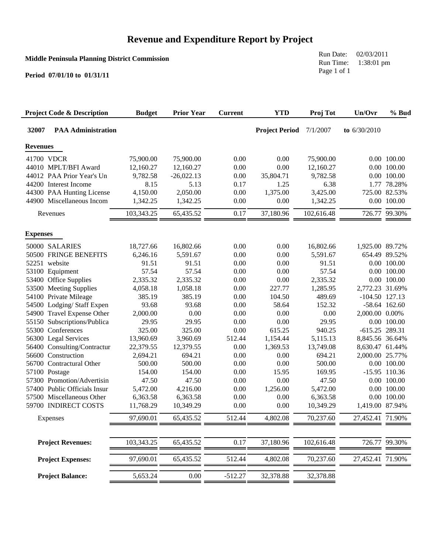## **Revenue and Expenditure Report by Project**

## **Middle Peninsula Planning District Commission**

**Period 07/01/10 to 01/31/11**

Run Date: 02/03/2011 Run Time: 1:38:01 pm Page 1 of 1

| <b>Project Code &amp; Description</b> | <b>Budget</b> | <b>Prior Year</b> | <b>Current</b> | <b>YTD</b>            | Proj Tot   | Un/Ovr           | % Bud           |
|---------------------------------------|---------------|-------------------|----------------|-----------------------|------------|------------------|-----------------|
| 32007<br><b>PAA Administration</b>    |               |                   |                | <b>Project Period</b> | 7/1/2007   | to $6/30/2010$   |                 |
| <b>Revenues</b>                       |               |                   |                |                       |            |                  |                 |
| 41700 VDCR                            | 75,900.00     | 75,900.00         | 0.00           | 0.00                  | 75,900.00  |                  | 0.00 100.00     |
| 44010 MPLT/BFI Award                  | 12,160.27     | 12,160.27         | 0.00           | 0.00                  | 12,160.27  |                  | 0.00 100.00     |
| 44012 PAA Prior Year's Un             | 9,782.58      | $-26,022.13$      | 0.00           | 35,804.71             | 9,782.58   |                  | 0.00 100.00     |
| 44200 Interest Income                 | 8.15          | 5.13              | 0.17           | 1.25                  | 6.38       |                  | 1.77 78.28%     |
| 44300 PAA Hunting License             | 4,150.00      | 2,050.00          | 0.00           | 1,375.00              | 3,425.00   |                  | 725.00 82.53%   |
| 44900 Miscellaneous Incom             | 1,342.25      | 1,342.25          | 0.00           | 0.00                  | 1,342.25   |                  | 0.00 100.00     |
| Revenues                              | 103,343.25    | 65,435.52         | 0.17           | 37,180.96             | 102,616.48 |                  | 726.77 99.30%   |
| <b>Expenses</b>                       |               |                   |                |                       |            |                  |                 |
| 50000 SALARIES                        | 18,727.66     | 16,802.66         | 0.00           | 0.00                  | 16,802.66  | 1,925.00 89.72%  |                 |
| 50500 FRINGE BENEFITS                 | 6,246.16      | 5,591.67          | 0.00           | 0.00                  | 5,591.67   |                  | 654.49 89.52%   |
| 52251 website                         | 91.51         | 91.51             | 0.00           | 0.00                  | 91.51      |                  | 0.00 100.00     |
| 53100 Equipment                       | 57.54         | 57.54             | 0.00           | 0.00                  | 57.54      |                  | 0.00 100.00     |
| 53400 Office Supplies                 | 2,335.32      | 2,335.32          | 0.00           | 0.00                  | 2,335.32   |                  | 0.00 100.00     |
| 53500 Meeting Supplies                | 4,058.18      | 1,058.18          | 0.00           | 227.77                | 1,285.95   | 2,772.23 31.69%  |                 |
| 54100 Private Mileage                 | 385.19        | 385.19            | 0.00           | 104.50                | 489.69     | $-104.50$ 127.13 |                 |
| 54500 Lodging/Staff Expen             | 93.68         | 93.68             | 0.00           | 58.64                 | 152.32     |                  | $-58.64$ 162.60 |
| 54900 Travel Expense Other            | 2,000.00      | 0.00              | 0.00           | 0.00                  | 0.00       | 2,000.00 0.00%   |                 |
| 55150 Subscriptions/Publica           | 29.95         | 29.95             | 0.00           | 0.00                  | 29.95      |                  | 0.00 100.00     |
| 55300 Conferences                     | 325.00        | 325.00            | 0.00           | 615.25                | 940.25     | -615.25 289.31   |                 |
| 56300 Legal Services                  | 13,960.69     | 3,960.69          | 512.44         | 1,154.44              | 5,115.13   | 8,845.56 36.64%  |                 |
| 56400 Consulting/Contractur           | 22,379.55     | 12,379.55         | 0.00           | 1,369.53              | 13,749.08  | 8,630.47 61.44%  |                 |
| 56600 Construction                    | 2,694.21      | 694.21            | 0.00           | 0.00                  | 694.21     | 2,000.00 25.77%  |                 |
| 56700 Contractural Other              | 500.00        | 500.00            | 0.00           | 0.00                  | 500.00     |                  | 0.00 100.00     |
| 57100 Postage                         | 154.00        | 154.00            | 0.00           | 15.95                 | 169.95     |                  | $-15.95$ 110.36 |
| 57300 Promotion/Advertisin            | 47.50         | 47.50             | 0.00           | 0.00                  | 47.50      |                  | 0.00 100.00     |
| 57400 Public Officials Insur          | 5,472.00      | 4,216.00          | 0.00           | 1,256.00              | 5,472.00   |                  | 0.00 100.00     |
| 57500 Miscellaneous Other             | 6,363.58      | 6,363.58          | 0.00           | 0.00                  | 6,363.58   |                  | 0.00 100.00     |
| 59700 INDIRECT COSTS                  | 11,768.29     | 10,349.29         | 0.00           | 0.00                  | 10,349.29  | 1,419.00 87.94%  |                 |
| Expenses                              | 97.690.01     | 65,435.52         | 512.44         | 4,802.08              | 70,237.60  | 27,452.41 71.90% |                 |
| <b>Project Revenues:</b>              | 103,343.25    | 65,435.52         | 0.17           | 37,180.96             | 102,616.48 | 726.77           | 99.30%          |
|                                       |               |                   |                |                       |            |                  |                 |
| <b>Project Expenses:</b>              | 97,690.01     | 65,435.52         | 512.44         | 4,802.08              | 70,237.60  | 27,452.41        | 71.90%          |
| <b>Project Balance:</b>               | 5,653.24      | 0.00              | $-512.27$      | 32,378.88             | 32,378.88  |                  |                 |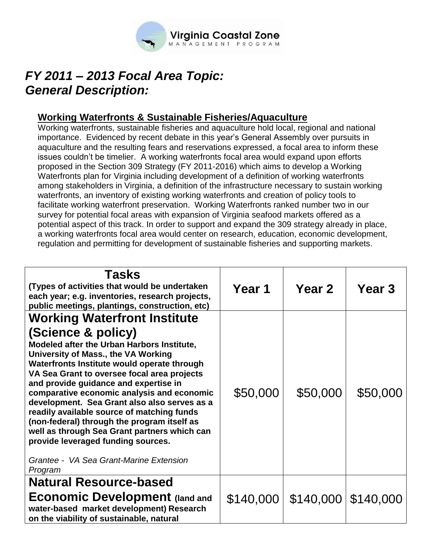

# *FY 2011 – 2013 Focal Area Topic:* *General Description:*

## **Working Waterfronts & Sustainable Fisheries/Aquaculture**

Working waterfronts, sustainable fisheries and aquaculture hold local, regional and national importance. Evidenced by recent debate in this year's General Assembly over pursuits in aquaculture and the resulting fears and reservations expressed, a focal area to inform these issues couldn't be timelier. A working waterfronts focal area would expand upon efforts proposed in the Section 309 Strategy (FY 2011-2016) which aims to develop a Working Waterfronts plan for Virginia including development of a definition of working waterfronts among stakeholders in Virginia, a definition of the infrastructure necessary to sustain working waterfronts, an inventory of existing working waterfronts and creation of policy tools to facilitate working waterfront preservation. Working Waterfronts ranked number two in our survey for potential focal areas with expansion of Virginia seafood markets offered as a potential aspect of this track. In order to support and expand the 309 strategy already in place, a working waterfronts focal area would center on research, education, economic development, regulation and permitting for development of sustainable fisheries and supporting markets.

| Tasks<br>(Types of activities that would be undertaken<br>each year; e.g. inventories, research projects,<br>public meetings, plantings, construction, etc)                                                                                                                                                                                                                                                                                                                                                                                                                                                                  | Year 1    | Year 2                        | Year 3   |
|------------------------------------------------------------------------------------------------------------------------------------------------------------------------------------------------------------------------------------------------------------------------------------------------------------------------------------------------------------------------------------------------------------------------------------------------------------------------------------------------------------------------------------------------------------------------------------------------------------------------------|-----------|-------------------------------|----------|
| <b>Working Waterfront Institute</b><br>(Science & policy)<br>Modeled after the Urban Harbors Institute,<br>University of Mass., the VA Working<br>Waterfronts Institute would operate through<br>VA Sea Grant to oversee focal area projects<br>and provide guidance and expertise in<br>comparative economic analysis and economic<br>development. Sea Grant also also serves as a<br>readily available source of matching funds<br>(non-federal) through the program itself as<br>well as through Sea Grant partners which can<br>provide leveraged funding sources.<br>Grantee - VA Sea Grant-Marine Extension<br>Program | \$50,000  | \$50,000                      | \$50,000 |
| <b>Natural Resource-based</b><br><b>Economic Development (land and</b><br>water-based market development) Research<br>on the viability of sustainable, natural                                                                                                                                                                                                                                                                                                                                                                                                                                                               | \$140,000 | $\vert$ \$140,000   \$140,000 |          |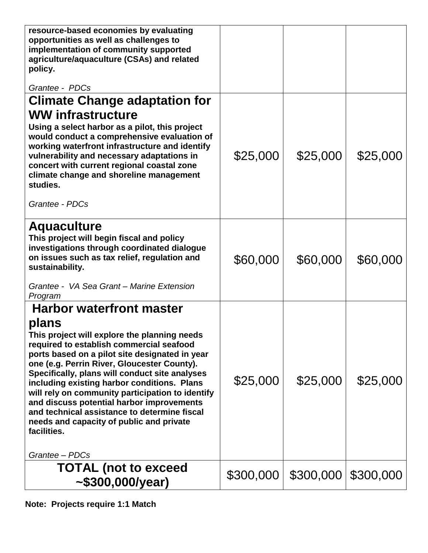| resource-based economies by evaluating<br>opportunities as well as challenges to<br>implementation of community supported<br>agriculture/aquaculture (CSAs) and related<br>policy.<br>Grantee - PDCs                                                                                                                                                                                                                                                                                                                                                                 |           |           |           |
|----------------------------------------------------------------------------------------------------------------------------------------------------------------------------------------------------------------------------------------------------------------------------------------------------------------------------------------------------------------------------------------------------------------------------------------------------------------------------------------------------------------------------------------------------------------------|-----------|-----------|-----------|
| <b>Climate Change adaptation for</b>                                                                                                                                                                                                                                                                                                                                                                                                                                                                                                                                 |           |           |           |
| <b>WW infrastructure</b><br>Using a select harbor as a pilot, this project<br>would conduct a comprehensive evaluation of<br>working waterfront infrastructure and identify<br>vulnerability and necessary adaptations in<br>concert with current regional coastal zone<br>climate change and shoreline management<br>studies.<br>Grantee - PDCs                                                                                                                                                                                                                     | \$25,000  | \$25,000  | \$25,000  |
| <b>Aquaculture</b><br>This project will begin fiscal and policy<br>investigations through coordinated dialogue<br>on issues such as tax relief, regulation and<br>sustainability.<br>Grantee - VA Sea Grant - Marine Extension<br>Program                                                                                                                                                                                                                                                                                                                            | \$60,000  | \$60,000  | \$60,000  |
| <b>Harbor waterfront master</b><br>plans<br>This project will explore the planning needs<br>required to establish commercial seafood<br>ports based on a pilot site designated in year<br>one (e.g. Perrin River, Gloucester County).<br>Specifically, plans will conduct site analyses<br>including existing harbor conditions. Plans<br>will rely on community participation to identify<br>and discuss potential harbor improvements<br>and technical assistance to determine fiscal<br>needs and capacity of public and private<br>facilities.<br>Grantee - PDCs | \$25,000  | \$25,000  | \$25,000  |
| <b>TOTAL (not to exceed</b><br>~5300,000/year)                                                                                                                                                                                                                                                                                                                                                                                                                                                                                                                       | \$300,000 | \$300,000 | \$300,000 |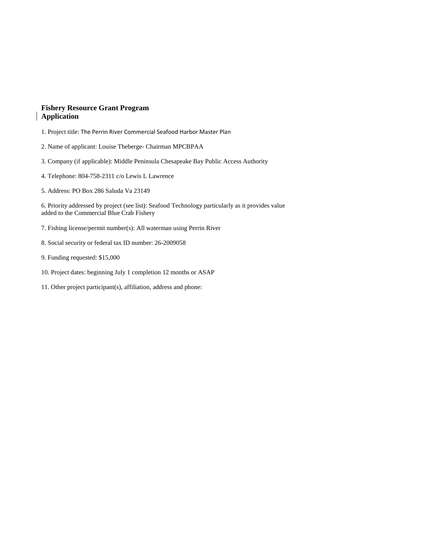### **Fishery Resource Grant Program Application**

- 1. Project title: The Perrin River Commercial Seafood Harbor Master Plan
- 2. Name of applicant: Louise Theberge- Chairman MPCBPAA
- 3. Company (if applicable): Middle Peninsula Chesapeake Bay Public Access Authority
- 4. Telephone: 804-758-2311 c/o Lewis L Lawrence
- 5. Address: PO Box 286 Saluda Va 23149

6. Priority addressed by project (see list): Seafood Technology particularly as it provides value added to the Commercial Blue Crab Fishery

- 7. Fishing license/permit number(s): All waterman using Perrin River
- 8. Social security or federal tax ID number: 26-2009058
- 9. Funding requested: \$15,000
- 10. Project dates: beginning July 1 completion 12 months or ASAP
- 11. Other project participant(s), affiliation, address and phone: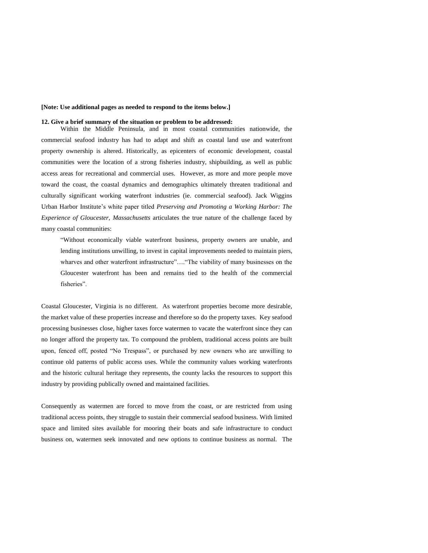#### **[Note: Use additional pages as needed to respond to the items below.]**

#### **12. Give a brief summary of the situation or problem to be addressed:**

Within the Middle Peninsula, and in most coastal communities nationwide, the commercial seafood industry has had to adapt and shift as coastal land use and waterfront property ownership is altered. Historically, as epicenters of economic development, coastal communities were the location of a strong fisheries industry, shipbuilding, as well as public access areas for recreational and commercial uses. However, as more and more people move toward the coast, the coastal dynamics and demographics ultimately threaten traditional and culturally significant working waterfront industries (ie. commercial seafood). Jack Wiggins Urban Harbor Institute's white paper titled *Preserving and Promoting a Working Harbor: The Experience of Gloucester, Massachusetts* articulates the true nature of the challenge faced by many coastal communities:

"Without economically viable waterfront business, property owners are unable, and lending institutions unwilling, to invest in capital improvements needed to maintain piers, wharves and other waterfront infrastructure"...."The viability of many businesses on the Gloucester waterfront has been and remains tied to the health of the commercial fisheries".

Coastal Gloucester, Virginia is no different. As waterfront properties become more desirable, the market value of these properties increase and therefore so do the property taxes. Key seafood processing businesses close, higher taxes force watermen to vacate the waterfront since they can no longer afford the property tax. To compound the problem, traditional access points are built upon, fenced off, posted "No Trespass", or purchased by new owners who are unwilling to continue old patterns of public access uses. While the community values working waterfronts and the historic cultural heritage they represents, the county lacks the resources to support this industry by providing publically owned and maintained facilities.

Consequently as watermen are forced to move from the coast, or are restricted from using traditional access points, they struggle to sustain their commercial seafood business. With limited space and limited sites available for mooring their boats and safe infrastructure to conduct business on, watermen seek innovated and new options to continue business as normal. The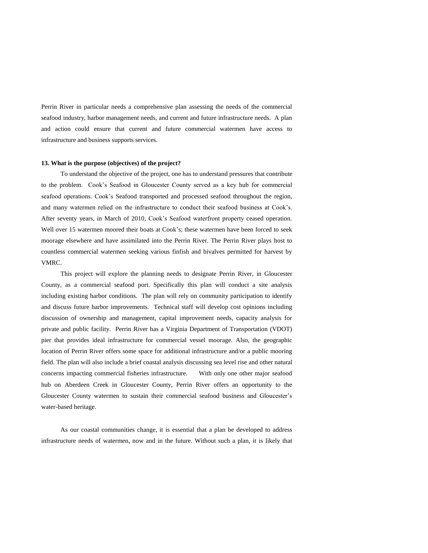Perrin River in particular needs a comprehensive plan assessing the needs of the commercial seafood industry, harbor management needs, and current and future infrastructure needs. A plan and action could ensure that current and future commercial watermen have access to infrastructure and business supports services.

#### **13. What is the purpose (objectives) of the project?**

To understand the objective of the project, one has to understand pressures that contribute to the problem. Cook's Seafood in Gloucester County served as a key hub for commercial seafood operations. Cook's Seafood transported and processed seafood throughout the region, and many watermen relied on the infrastructure to conduct their seafood business at Cook's. After seventy years, in March of 2010, Cook's Seafood waterfront property ceased operation. Well over 15 watermen moored their boats at Cook's; these watermen have been forced to seek moorage elsewhere and have assimilated into the Perrin River. The Perrin River plays host to countless commercial watermen seeking various finfish and bivalves permitted for harvest by VMRC.

This project will explore the planning needs to designate Perrin River, in Gloucester County, as a commercial seafood port. Specifically this plan will conduct a site analysis including existing harbor conditions. The plan will rely on community participation to identify and discuss future harbor improvements. Technical staff will develop cost opinions including discussion of ownership and management, capital improvement needs, capacity analysis for private and public facility. Perrin River has a Virginia Department of Transportation (VDOT) pier that provides ideal infrastructure for commercial vessel moorage. Also, the geographic location of Perrin River offers some space for additional infrastructure and/or a public mooring field. The plan will also include a brief coastal analysis discussing sea level rise and other natural concerns impacting commercial fisheries infrastructure. With only one other major seafood hub on Aberdeen Creek in Gloucester County, Perrin River offers an opportunity to the Gloucester County watermen to sustain their commercial seafood business and Gloucester's water-based heritage.

As our coastal communities change, it is essential that a plan be developed to address infrastructure needs of watermen, now and in the future. Without such a plan, it is likely that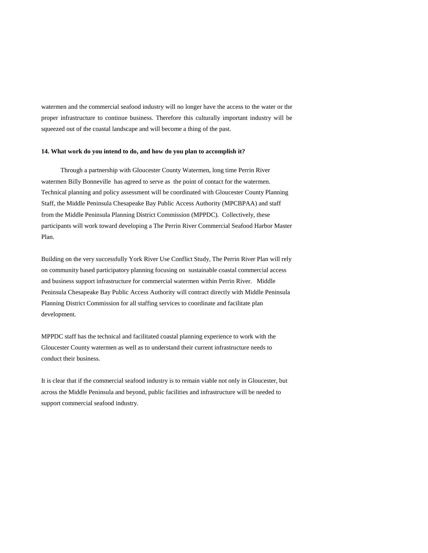watermen and the commercial seafood industry will no longer have the access to the water or the proper infrastructure to continue business. Therefore this culturally important industry will be squeezed out of the coastal landscape and will become a thing of the past.

#### **14. What work do you intend to do, and how do you plan to accomplish it?**

Through a partnership with Gloucester County Watermen, long time Perrin River watermen Billy Bonneville has agreed to serve as the point of contact for the watermen. Technical planning and policy assessment will be coordinated with Gloucester County Planning Staff, the Middle Peninsula Chesapeake Bay Public Access Authority (MPCBPAA) and staff from the Middle Peninsula Planning District Commission (MPPDC). Collectively, these participants will work toward developing a The Perrin River Commercial Seafood Harbor Master Plan.

Building on the very successfully York River Use Conflict Study, The Perrin River Plan will rely on community based participatory planning focusing on sustainable coastal commercial access and business support infrastructure for commercial watermen within Perrin River. Middle Peninsula Chesapeake Bay Public Access Authority will contract directly with Middle Peninsula Planning District Commission for all staffing services to coordinate and facilitate plan development.

MPPDC staff has the technical and facilitated coastal planning experience to work with the Gloucester County watermen as well as to understand their current infrastructure needs to conduct their business.

It is clear that if the commercial seafood industry is to remain viable not only in Gloucester, but across the Middle Peninsula and beyond, public facilities and infrastructure will be needed to support commercial seafood industry.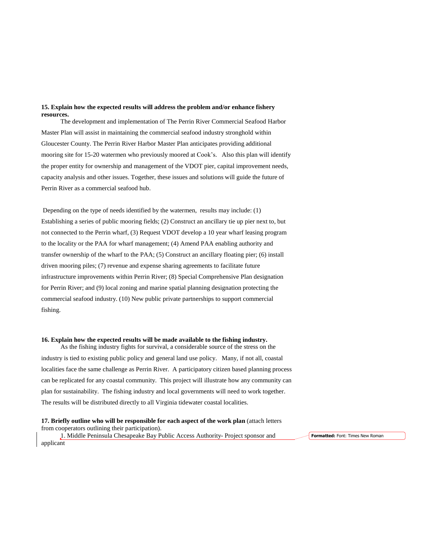#### **15. Explain how the expected results will address the problem and/or enhance fishery resources.**

The development and implementation of The Perrin River Commercial Seafood Harbor Master Plan will assist in maintaining the commercial seafood industry stronghold within Gloucester County. The Perrin River Harbor Master Plan anticipates providing additional mooring site for 15-20 watermen who previously moored at Cook's. Also this plan will identify the proper entity for ownership and management of the VDOT pier, capital improvement needs, capacity analysis and other issues. Together, these issues and solutions will guide the future of Perrin River as a commercial seafood hub.

Depending on the type of needs identified by the watermen, results may include: (1) Establishing a series of public mooring fields; (2) Construct an ancillary tie up pier next to, but not connected to the Perrin wharf, (3) Request VDOT develop a 10 year wharf leasing program to the locality or the PAA for wharf management; (4) Amend PAA enabling authority and transfer ownership of the wharf to the PAA; (5) Construct an ancillary floating pier; (6) install driven mooring piles; (7) revenue and expense sharing agreements to facilitate future infrastructure improvements within Perrin River; (8) Special Comprehensive Plan designation for Perrin River; and (9) local zoning and marine spatial planning designation protecting the commercial seafood industry. (10) New public private partnerships to support commercial fishing.

#### **16. Explain how the expected results will be made available to the fishing industry.**

As the fishing industry fights for survival, a considerable source of the stress on the industry is tied to existing public policy and general land use policy. Many, if not all, coastal localities face the same challenge as Perrin River. A participatory citizen based planning process can be replicated for any coastal community. This project will illustrate how any community can plan for sustainability. The fishing industry and local governments will need to work together. The results will be distributed directly to all Virginia tidewater coastal localities.

**17. Briefly outline who will be responsible for each aspect of the work plan** (attach letters from cooperators outlining their participation). 1. Middle Peninsula Chesapeake Bay Public Access Authority- Project sponsor and

**Formatted:** Font: Times New Roman

applicant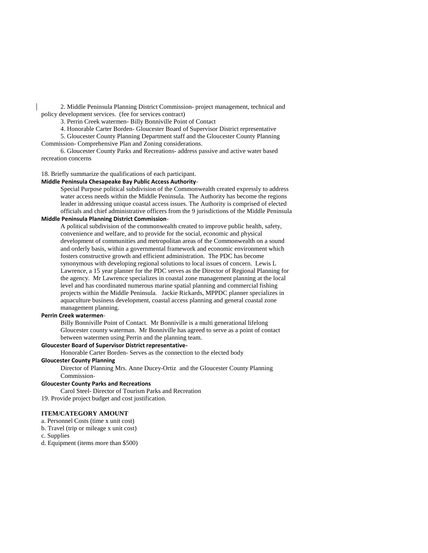2. Middle Peninsula Planning District Commission- project management, technical and policy development services. (fee for services contract)

3. Perrin Creek watermen- Billy Bonniville Point of Contact

4. Honorable Carter Borden- Gloucester Board of Supervisor District representative

5. Gloucester County Planning Department staff and the Gloucester County Planning Commission- Comprehensive Plan and Zoning considerations.

6. Gloucester County Parks and Recreations- address passive and active water based recreation concerns

#### 18. Briefly summarize the qualifications of each participant.

#### **Middle Peninsula Chesapeake Bay Public Access Authority**-

Special Purpose political subdivision of the Commonwealth created expressly to address water access needs within the Middle Peninsula. The Authority has become the regions leader in addressing unique coastal access issues. The Authority is comprised of elected officials and chief administrative officers from the 9 jurisdictions of the Middle Peninsula

#### **Middle Peninsula Planning District Commission**-

A political subdivision of the commonwealth created to improve public health, safety, convenience and welfare, and to provide for the social, economic and physical development of communities and metropolitan areas of the Commonwealth on a sound and orderly basis, within a governmental framework and economic environment which fosters constructive growth and efficient administration. The PDC has become synonymous with developing regional solutions to local issues of concern. Lewis L Lawrence, a 15 year planner for the PDC serves as the Director of Regional Planning for the agency. Mr Lawrence specializes in coastal zone management planning at the local level and has coordinated numerous marine spatial planning and commercial fishing projects within the Middle Peninsula. Jackie Rickards, MPPDC planner specializes in aquaculture business development, coastal access planning and general coastal zone management planning.

#### **Perrin Creek watermen**-

Billy Bonniville Point of Contact. Mr Bonniville is a multi generational lifelong Gloucester county waterman. Mr Bonniville has agreed to serve as a point of contact between watermen using Perrin and the planning team.

#### **Gloucester Board of Supervisor District representative-**

Honorable Carter Borden- Serves as the connection to the elected body

#### **Gloucester County Planning**

Director of Planning Mrs. Anne Ducey-Ortiz and the Gloucester County Planning Commission-

#### **Gloucester County Parks and Recreations**

Carol Steel- Director of Tourism Parks and Recreation

19. Provide project budget and cost justification.

#### **ITEM/CATEGORY AMOUNT**

a. Personnel Costs (time x unit cost)

b. Travel (trip or mileage x unit cost)

c. Supplies

d. Equipment (items more than \$500)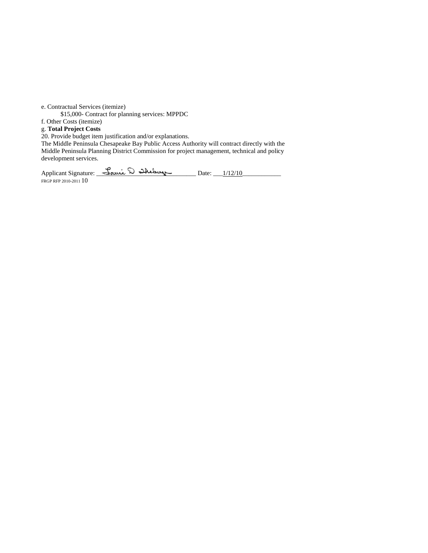e. Contractual Services (itemize)

\$15,000- Contract for planning services: MPPDC

f. Other Costs (itemize)

g. **Total Project Costs**

20. Provide budget item justification and/or explanations.

The Middle Peninsula Chesapeake Bay Public Access Authority will contract directly with the Middle Peninsula Planning District Commission for project management, technical and policy development services.

Applicant Signature: \_\_\_\_\_\_\_\_\_\_\_\_\_\_\_\_\_\_\_\_\_\_\_\_\_\_\_\_\_\_\_ Date: \_\_\_1/12/10\_\_\_\_\_\_\_\_\_\_\_\_ FRGP RFP 2010-2011  $10\,$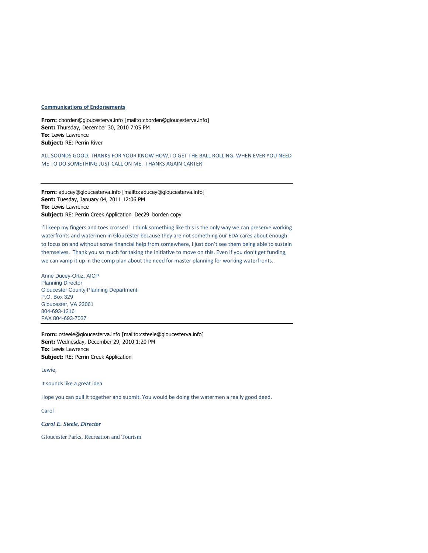#### **Communications of Endorsements**

**From:** cborden@gloucesterva.info [mailto:cborden@gloucesterva.info] **Sent:** Thursday, December 30, 2010 7:05 PM **To:** Lewis Lawrence **Subject:** RE: Perrin River

ALL SOUNDS GOOD. THANKS FOR YOUR KNOW HOW,TO GET THE BALL ROLLING. WHEN EVER YOU NEED ME TO DO SOMETHING JUST CALL ON ME. THANKS AGAIN CARTER

**From:** aducey@gloucesterva.info [mailto:aducey@gloucesterva.info] **Sent:** Tuesday, January 04, 2011 12:06 PM **To:** Lewis Lawrence **Subject:** RE: Perrin Creek Application\_Dec29\_borden copy

I'll keep my fingers and toes crossed! I think something like this is the only way we can preserve working waterfronts and watermen in Gloucester because they are not something our EDA cares about enough to focus on and without some financial help from somewhere, I just don't see them being able to sustain themselves. Thank you so much for taking the initiative to move on this. Even if you don't get funding, we can vamp it up in the comp plan about the need for master planning for working waterfronts..

Anne Ducey-Ortiz, AICP Planning Director Gloucester County Planning Department P.O. Box 329 Gloucester, VA 23061 804-693-1216 FAX 804-693-7037

**From:** csteele@gloucesterva.info [mailto:csteele@gloucesterva.info] **Sent:** Wednesday, December 29, 2010 1:20 PM **To:** Lewis Lawrence **Subject:** RE: Perrin Creek Application

Lewie,

It sounds like a great idea

Hope you can pull it together and submit. You would be doing the watermen a really good deed.

Carol

*Carol E. Steele, Director*

Gloucester Parks, Recreation and Tourism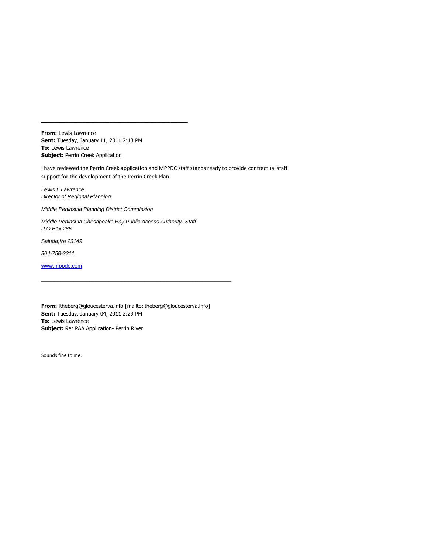**From:** Lewis Lawrence **Sent:** Tuesday, January 11, 2011 2:13 PM **To:** Lewis Lawrence **Subject: Perrin Creek Application** 

I have reviewed the Perrin Creek application and MPPDC staff stands ready to provide contractual staff support for the development of the Perrin Creek Plan

*Lewis L Lawrence Director of Regional Planning*

*Middle Peninsula Planning District Commission*

*Middle Peninsula Chesapeake Bay Public Access Authority- Staff P.O.Box 286*

**\_\_\_\_\_\_\_\_\_\_\_\_\_\_\_\_\_\_\_\_\_\_\_\_\_\_\_\_\_\_\_\_\_\_\_\_\_\_\_\_\_\_\_**

*Saluda,Va 23149*

*804-758-2311*

[www.mppdc.com](blocked::http://www.mppdc.com)

**From:** ltheberg@gloucesterva.info [mailto:ltheberg@gloucesterva.info] **Sent:** Tuesday, January 04, 2011 2:29 PM **To:** Lewis Lawrence **Subject:** Re: PAA Application- Perrin River

\_\_\_\_\_\_\_\_\_\_\_\_\_\_\_\_\_\_\_\_\_\_\_\_\_\_\_\_\_\_\_\_\_\_\_\_\_\_\_\_\_\_\_\_\_\_\_\_\_\_\_\_\_\_\_\_\_\_\_

Sounds fine to me.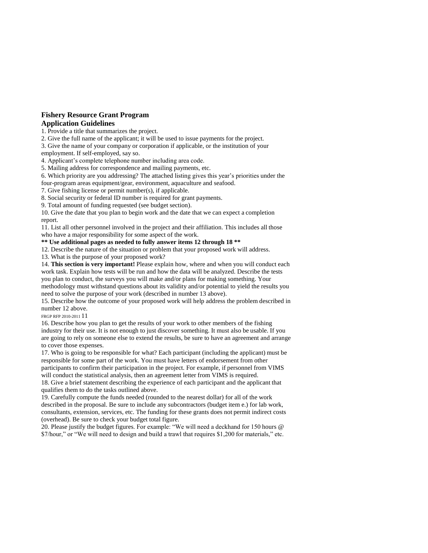## **Fishery Resource Grant Program**

#### **Application Guidelines**

1. Provide a title that summarizes the project.

2. Give the full name of the applicant; it will be used to issue payments for the project.

3. Give the name of your company or corporation if applicable, or the institution of your

employment. If self-employed, say so. 4. Applicant's complete telephone number including area code.

5. Mailing address for correspondence and mailing payments, etc.

6. Which priority are you addressing? The attached listing gives this year's priorities under the

four-program areas equipment/gear, environment, aquaculture and seafood.

7. Give fishing license or permit number(s), if applicable.

8. Social security or federal ID number is required for grant payments.

9. Total amount of funding requested (see budget section).

10. Give the date that you plan to begin work and the date that we can expect a completion report.

11. List all other personnel involved in the project and their affiliation. This includes all those who have a major responsibility for some aspect of the work.

**\*\* Use additional pages as needed to fully answer items 12 through 18 \*\***

12. Describe the nature of the situation or problem that your proposed work will address.

13. What is the purpose of your proposed work?

14. **This section is very important!** Please explain how, where and when you will conduct each work task. Explain how tests will be run and how the data will be analyzed. Describe the tests you plan to conduct, the surveys you will make and/or plans for making something. Your methodology must withstand questions about its validity and/or potential to yield the results you need to solve the purpose of your work (described in number 13 above).

15. Describe how the outcome of your proposed work will help address the problem described in number 12 above.

FRGP RFP 2010-2011 11

16. Describe how you plan to get the results of your work to other members of the fishing industry for their use. It is not enough to just discover something. It must also be usable. If you are going to rely on someone else to extend the results, be sure to have an agreement and arrange to cover those expenses.

17. Who is going to be responsible for what? Each participant (including the applicant) must be responsible for some part of the work. You must have letters of endorsement from other participants to confirm their participation in the project. For example, if personnel from VIMS will conduct the statistical analysis, then an agreement letter from VIMS is required.

18. Give a brief statement describing the experience of each participant and the applicant that qualifies them to do the tasks outlined above.

19. Carefully compute the funds needed (rounded to the nearest dollar) for all of the work described in the proposal. Be sure to include any subcontractors (budget item e.) for lab work, consultants, extension, services, etc. The funding for these grants does not permit indirect costs (overhead). Be sure to check your budget total figure.

20. Please justify the budget figures. For example: "We will need a deckhand for 150 hours @ \$7/hour," or "We will need to design and build a trawl that requires \$1,200 for materials," etc.